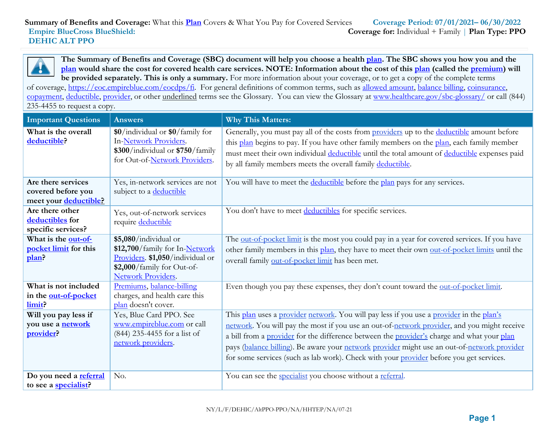**The Summary of Benefits and Coverage (SBC) document will help you choose a health [plan.](https://www.healthcare.gov/sbc-glossary/) The SBC shows you how you and the [plan](https://www.healthcare.gov/sbc-glossary/) would share the cost for covered health care services. NOTE: Information about the cost of this [plan](https://www.healthcare.gov/sbc-glossary/) (called the [premium\)](https://www.healthcare.gov/sbc-glossary/) will be provided separately. This is only a summary.** For more information about your coverage, or to get a copy of the complete terms

of coverage, [https://eoc.empireblue.com/eocdps/fi.](https://eoc.empireblue.com/eocdps/fi) For general definitions of common terms, such as [allowed amount, balance billing, coinsurance,](https://www.healthcare.gov/sbc-glossary/) [copayment, deductible, provider,](https://www.healthcare.gov/sbc-glossary/) or other underlined terms see the Glossary. You can view the Glossary at [www.healthcare.gov/sbc-glossary/](http://www.healthcare.gov/sbc-glossary/) or call (844) 235-4455 to request a copy.

| <b>Important Questions</b>                                        | <b>Answers</b>                                                                                                                                  | <b>Why This Matters:</b>                                                                                                                                                                                                                                                                                                                                                                                                                                                        |
|-------------------------------------------------------------------|-------------------------------------------------------------------------------------------------------------------------------------------------|---------------------------------------------------------------------------------------------------------------------------------------------------------------------------------------------------------------------------------------------------------------------------------------------------------------------------------------------------------------------------------------------------------------------------------------------------------------------------------|
| What is the overall<br>deductible?                                | \$0/individual or \$0/family for<br>In-Network Providers.<br>\$300/individual or \$750/family<br>for Out-of-Network Providers.                  | Generally, you must pay all of the costs from providers up to the deductible amount before<br>this plan begins to pay. If you have other family members on the plan, each family member<br>must meet their own individual deductible until the total amount of deductible expenses paid<br>by all family members meets the overall family deductible.                                                                                                                           |
| Are there services<br>covered before you<br>meet your deductible? | Yes, in-network services are not<br>subject to a deductible                                                                                     | You will have to meet the deductible before the plan pays for any services.                                                                                                                                                                                                                                                                                                                                                                                                     |
| Are there other<br>deductibles for<br>specific services?          | Yes, out-of-network services<br>require deductible                                                                                              | You don't have to meet deductibles for specific services.                                                                                                                                                                                                                                                                                                                                                                                                                       |
| What is the out-of-<br>pocket limit for this<br>plan?             | \$5,080/individual or<br>\$12,700/family for In-Network<br>Providers. \$1,050/individual or<br>\$2,000/family for Out-of-<br>Network Providers. | The out-of-pocket limit is the most you could pay in a year for covered services. If you have<br>other family members in this plan, they have to meet their own out-of-pocket limits until the<br>overall family out-of-pocket limit has been met.                                                                                                                                                                                                                              |
| What is not included<br>in the out-of-pocket<br>limit?            | Premiums, balance-billing<br>charges, and health care this<br>plan doesn't cover.                                                               | Even though you pay these expenses, they don't count toward the out-of-pocket limit.                                                                                                                                                                                                                                                                                                                                                                                            |
| Will you pay less if<br>you use a <b>network</b><br>provider?     | Yes, Blue Card PPO. See<br>www.empireblue.com or call<br>(844) 235-4455 for a list of<br>network providers.                                     | This plan uses a provider network. You will pay less if you use a provider in the plan's<br>network. You will pay the most if you use an out-of-network provider, and you might receive<br>a bill from a provider for the difference between the provider's charge and what your plan<br>pays (balance billing). Be aware your network provider might use an out-of-network provider<br>for some services (such as lab work). Check with your provider before you get services. |
| Do you need a referral<br>to see a <b>specialist?</b>             | No.                                                                                                                                             | You can see the <i>specialist</i> you choose without a referral.                                                                                                                                                                                                                                                                                                                                                                                                                |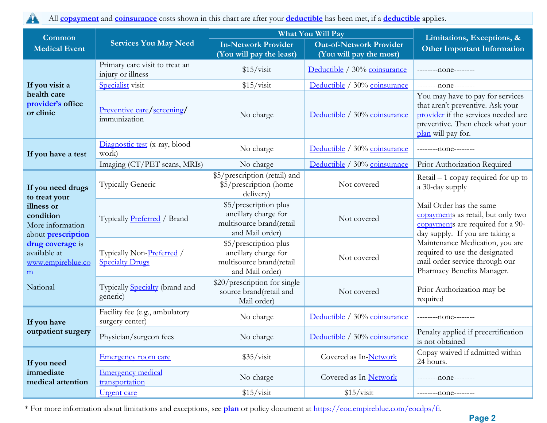All **[copayment](https://www.healthcare.gov/sbc-glossary/)** and **[coinsurance](https://www.healthcare.gov/sbc-glossary/)** costs shown in this chart are after your **[deductible](https://www.healthcare.gov/sbc-glossary/)** has been met, if a **[deductible](https://www.healthcare.gov/sbc-glossary/)** applies.  $\blacktriangle$ 

| Common                                                                                                                                                                | What You Will Pay                                   |                                                                                              |                                                           | Limitations, Exceptions, &                                                                                                                                            |  |
|-----------------------------------------------------------------------------------------------------------------------------------------------------------------------|-----------------------------------------------------|----------------------------------------------------------------------------------------------|-----------------------------------------------------------|-----------------------------------------------------------------------------------------------------------------------------------------------------------------------|--|
| <b>Medical Event</b>                                                                                                                                                  | <b>Services You May Need</b>                        | <b>In-Network Provider</b><br>(You will pay the least)                                       | <b>Out-of-Network Provider</b><br>(You will pay the most) | <b>Other Important Information</b>                                                                                                                                    |  |
|                                                                                                                                                                       | Primary care visit to treat an<br>injury or illness | \$15/visit                                                                                   | Deductible / 30% coinsurance                              | ---------none--------                                                                                                                                                 |  |
| If you visit a                                                                                                                                                        | Specialist visit                                    | \$15/visit                                                                                   | Deductible / 30% coinsurance                              | ---------none--------                                                                                                                                                 |  |
| health care<br>provider's office<br>or clinic                                                                                                                         | <u>Preventive care/screening/</u><br>immunization   | No charge                                                                                    | Deductible / 30% coinsurance                              | You may have to pay for services<br>that aren't preventive. Ask your<br>provider if the services needed are<br>preventive. Then check what your<br>plan will pay for. |  |
| If you have a test                                                                                                                                                    | Diagnostic test (x-ray, blood<br>work)              | No charge                                                                                    | Deductible / 30% coinsurance                              | ---------none--------                                                                                                                                                 |  |
|                                                                                                                                                                       | Imaging (CT/PET scans, MRIs)                        | No charge                                                                                    | Deductible / 30% coinsurance                              | Prior Authorization Required                                                                                                                                          |  |
| If you need drugs                                                                                                                                                     | <b>Typically Generic</b>                            | \$5/prescription (retail) and<br>\$5/prescription (home<br>delivery)                         | Not covered                                               | $Retail - 1$ copay required for up to<br>a 30-day supply                                                                                                              |  |
| to treat your<br>illness or<br>condition<br>More information<br>about <b>prescription</b><br>drug coverage is<br>available at<br>www.empireblue.co<br>$\underline{m}$ | Typically Preferred / Brand                         | \$5/prescription plus<br>ancillary charge for<br>multisource brand(retail<br>and Mail order) | Not covered                                               | Mail Order has the same<br>copayments as retail, but only two<br>copayments are required for a 90-<br>day supply. If you are taking a                                 |  |
|                                                                                                                                                                       | Typically Non-Preferred /<br><b>Specialty Drugs</b> | \$5/prescription plus<br>ancillary charge for<br>multisource brand(retail<br>and Mail order) | Not covered                                               | Maintenance Medication, you are<br>required to use the designated<br>mail order service through our<br>Pharmacy Benefits Manager.                                     |  |
| National                                                                                                                                                              | Typically <b>Specialty</b> (brand and<br>generic)   | \$20/prescription for single<br>source brand(retail and<br>Mail order)                       | Not covered<br>required                                   | Prior Authorization may be                                                                                                                                            |  |
| If you have                                                                                                                                                           | Facility fee (e.g., ambulatory<br>surgery center)   | No charge                                                                                    | Deductible / 30% coinsurance                              | ---------none-------                                                                                                                                                  |  |
| outpatient surgery                                                                                                                                                    | Physician/surgeon fees                              | No charge                                                                                    | Deductible / 30% coinsurance                              | Penalty applied if precertification<br>is not obtained                                                                                                                |  |
| If you need                                                                                                                                                           | <b>Emergency room care</b>                          | \$35/visit                                                                                   | Covered as In-Network                                     | Copay waived if admitted within<br>24 hours.                                                                                                                          |  |
| immediate<br>medical attention                                                                                                                                        | <b>Emergency medical</b><br>transportation          | No charge                                                                                    | Covered as In-Network                                     | --------none--------                                                                                                                                                  |  |
|                                                                                                                                                                       | <u>Urgent</u> care                                  | \$15/visit                                                                                   | \$15/visit                                                | ---------none--------                                                                                                                                                 |  |

\* For more information about limitations and exceptions, see **plan** or policy document at [https://eoc.empireblue.com/eocdps/fi.](https://eoc.empireblue.com/eocdps/fi)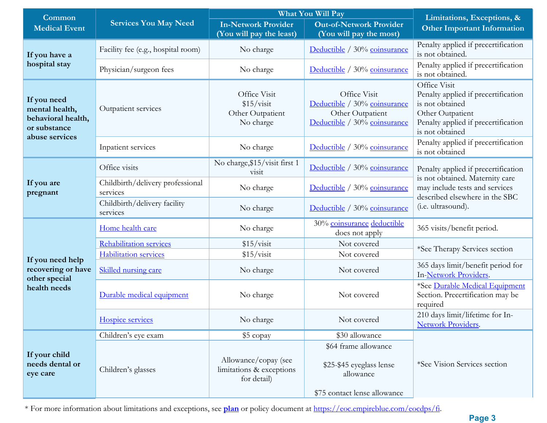| Common                                                              |                                                                                                                                                                                                                                                                                                                                                                                                                    |                                                                  | What You Will Pay                                                                                | Limitations, Exceptions, &<br><b>Other Important Information</b>                                                                                                 |  |
|---------------------------------------------------------------------|--------------------------------------------------------------------------------------------------------------------------------------------------------------------------------------------------------------------------------------------------------------------------------------------------------------------------------------------------------------------------------------------------------------------|------------------------------------------------------------------|--------------------------------------------------------------------------------------------------|------------------------------------------------------------------------------------------------------------------------------------------------------------------|--|
| <b>Medical Event</b>                                                | <b>Services You May Need</b>                                                                                                                                                                                                                                                                                                                                                                                       | <b>In-Network Provider</b><br>(You will pay the least)           | <b>Out-of-Network Provider</b><br>(You will pay the most)                                        |                                                                                                                                                                  |  |
| If you have a                                                       | Facility fee (e.g., hospital room)                                                                                                                                                                                                                                                                                                                                                                                 | No charge                                                        | Deductible / 30% coinsurance                                                                     | Penalty applied if precertification<br>is not obtained.                                                                                                          |  |
| hospital stay                                                       | Physician/surgeon fees                                                                                                                                                                                                                                                                                                                                                                                             | No charge                                                        | Deductible / 30% coinsurance                                                                     | Penalty applied if precertification<br>is not obtained.                                                                                                          |  |
| If you need<br>mental health,<br>behavioral health,<br>or substance | Outpatient services                                                                                                                                                                                                                                                                                                                                                                                                | Office Visit<br>\$15/visit<br>Other Outpatient<br>No charge      | Office Visit<br>Deductible / 30% coinsurance<br>Other Outpatient<br>Deductible / 30% coinsurance | Office Visit<br>Penalty applied if precertification<br>is not obtained<br>Other Outpatient<br>Penalty applied if precertification<br>is not obtained             |  |
| abuse services                                                      | Inpatient services                                                                                                                                                                                                                                                                                                                                                                                                 | No charge                                                        | Deductible / 30% coinsurance                                                                     | Penalty applied if precertification<br>is not obtained                                                                                                           |  |
|                                                                     | Office visits                                                                                                                                                                                                                                                                                                                                                                                                      | No charge, \$15/visit first 1<br>V <sub>1</sub> S <sub>1</sub> t | Deductible / 30% coinsurance                                                                     | Penalty applied if precertification<br>is not obtained. Maternity care<br>may include tests and services<br>described elsewhere in the SBC<br>(i.e. ultrasound). |  |
| If you are<br>pregnant                                              | Childbirth/delivery professional<br>services                                                                                                                                                                                                                                                                                                                                                                       | No charge                                                        | Deductible / 30% coinsurance                                                                     |                                                                                                                                                                  |  |
|                                                                     | Childbirth/delivery facility<br>services                                                                                                                                                                                                                                                                                                                                                                           | No charge                                                        | Deductible / 30% coinsurance                                                                     |                                                                                                                                                                  |  |
|                                                                     | Home health care                                                                                                                                                                                                                                                                                                                                                                                                   | No charge                                                        | 30% coinsurance deductible<br>does not apply                                                     | 365 visits/benefit period.                                                                                                                                       |  |
|                                                                     | Rehabilitation services                                                                                                                                                                                                                                                                                                                                                                                            | \$15/visit                                                       | Not covered                                                                                      | *See Therapy Services section                                                                                                                                    |  |
| If you need help                                                    | <b>Habilitation services</b><br>\$15/visit<br>Not covered<br>Skilled nursing care<br>No charge<br>Not covered<br>Durable medical equipment<br>No charge<br>Not covered<br>Hospice services<br>No charge<br>Not covered<br>\$30 allowance<br>Children's eye exam<br>\$5 copay<br>Allowance/copay (see<br>Children's glasses<br>limitations & exceptions<br>allowance<br>for detail)<br>\$75 contact lense allowance |                                                                  |                                                                                                  |                                                                                                                                                                  |  |
| recovering or have<br>other special                                 | required                                                                                                                                                                                                                                                                                                                                                                                                           | 365 days limit/benefit period for<br>In-Network Providers.       |                                                                                                  |                                                                                                                                                                  |  |
| health needs                                                        |                                                                                                                                                                                                                                                                                                                                                                                                                    |                                                                  |                                                                                                  | *See Durable Medical Equipment<br>Section. Precertification may be                                                                                               |  |
|                                                                     |                                                                                                                                                                                                                                                                                                                                                                                                                    |                                                                  |                                                                                                  | 210 days limit/lifetime for In-<br>Network Providers.                                                                                                            |  |
|                                                                     |                                                                                                                                                                                                                                                                                                                                                                                                                    |                                                                  |                                                                                                  |                                                                                                                                                                  |  |
| If your child<br>needs dental or<br>eye care                        |                                                                                                                                                                                                                                                                                                                                                                                                                    |                                                                  | \$64 frame allowance<br>\$25-\$45 eyeglass lense                                                 | *See Vision Services section                                                                                                                                     |  |
|                                                                     |                                                                                                                                                                                                                                                                                                                                                                                                                    |                                                                  |                                                                                                  |                                                                                                                                                                  |  |

\* For more information about limitations and exceptions, see **plan** or policy document at [https://eoc.empireblue.com/eocdps/fi.](https://eoc.empireblue.com/eocdps/fi)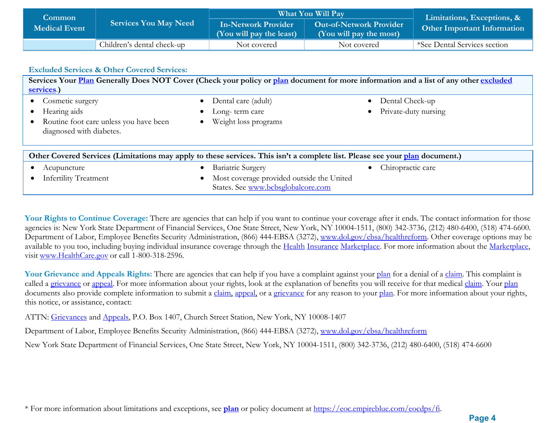| <b>Common</b><br><b>Medical Event</b> | <b>Services You May Need</b> | What You Will Pay                                      | Limitations, Exceptions, &                                |                                    |
|---------------------------------------|------------------------------|--------------------------------------------------------|-----------------------------------------------------------|------------------------------------|
|                                       |                              | <b>In-Network Provider</b><br>(You will pay the least) | <b>Out-of-Network Provider</b><br>(You will pay the most) | <b>Other Important Information</b> |
|                                       | Children's dental check-up   | Not covered                                            | Not covered                                               | *See Dental Services section       |

| <b>Excluded Services &amp; Other Covered Services:</b>                                                                                |                                                                                 |                      |  |  |  |
|---------------------------------------------------------------------------------------------------------------------------------------|---------------------------------------------------------------------------------|----------------------|--|--|--|
| Services Your Plan Generally Does NOT Cover (Check your policy or plan document for more information and a list of any other excluded |                                                                                 |                      |  |  |  |
| services.)                                                                                                                            |                                                                                 |                      |  |  |  |
| Cosmetic surgery                                                                                                                      | Dental care (adult)                                                             | Dental Check-up      |  |  |  |
| Hearing aids                                                                                                                          | Long-term care                                                                  | Private-duty nursing |  |  |  |
| Routine foot care unless you have been<br>diagnosed with diabetes.                                                                    | Weight loss programs                                                            |                      |  |  |  |
|                                                                                                                                       |                                                                                 |                      |  |  |  |
| Other Covered Services (Limitations may apply to these services. This isn't a complete list. Please see your plan document.)          |                                                                                 |                      |  |  |  |
| Acupuncture                                                                                                                           | <b>Bariatric Surgery</b>                                                        | Chiropractic care    |  |  |  |
| <b>Infertility Treatment</b>                                                                                                          | Most coverage provided outside the United<br>States. See www.bcbsglobalcore.com |                      |  |  |  |

Your Rights to Continue Coverage: There are agencies that can help if you want to continue your coverage after it ends. The contact information for those agencies is: New York State Department of Financial Services, One State Street, New York, NY 10004-1511, (800) 342-3736, (212) 480-6400, (518) 474-6600. Department of Labor, Employee Benefits Security Administration, (866) 444-EBSA (3272), [www.dol.gov/ebsa/healthreform.](http://www.dol.gov/ebsa/healthreform) Other coverage options may be available to you too, including buying individual insurance coverage through the Health Insurance Marketplace. For more information about the Marketplace, visit [www.HealthCare.gov](http://www.healthcare.gov/) or call 1-800-318-2596.

Your Grievance and Appeals Rights: There are agencies that can help if you have a complaint against your [plan](https://www.healthcare.gov/sbc-glossary/) for a denial of a [claim.](https://www.healthcare.gov/sbc-glossary/) This complaint is called a grievance or appeal. For more information about your rights, look at the explanation of benefits you will receive for that medical claim. Your plan documents also provide complete information to submit a claim, appeal, or a grievance for any reason to your plan. For more information about your rights, this notice, or assistance, contact:

ATTN: Grievances and Appeals, P.O. Box 1407, Church Street Station, New York, NY 10008-1407

Department of Labor, Employee Benefits Security Administration, (866) 444-EBSA (3272), [www.dol.gov/ebsa/healthreform](http://www.dol.gov/ebsa/healthreform)

New York State Department of Financial Services, One State Street, New York, NY 10004-1511, (800) 342-3736, (212) 480-6400, (518) 474-6600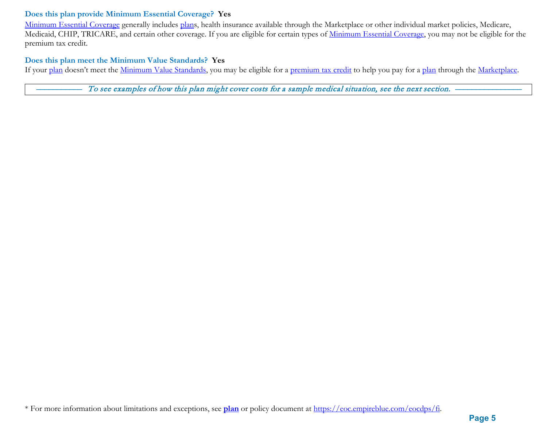### **Does this plan provide Minimum Essential Coverage? Yes**

Minimum Essential Coverage generally includes plans, health insurance available through the Marketplace or other individual market policies, Medicare, Medicaid, CHIP, TRICARE, and certain other coverage. If you are eligible for certain types of Minimum Essential Coverage, you may not be eligible for the premium tax credit.

#### **Does this plan meet the Minimum Value Standards? Yes**

If your plan doesn't meet the Minimum Value Standards, you may be eligible for a premium tax credit to help you pay for a plan through the Marketplace.

To see examples of how this plan might cover costs for a sample medical situation, see the next section. -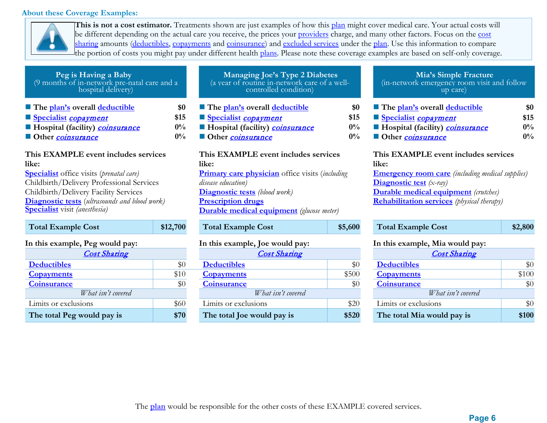### **About these Coverage Examples:**



**This is not a cost estimator.** Treatments shown are just examples of how this plan might cover medical care. Your actual costs will be different depending on the actual care you receive, the prices your providers charge, and many other factors. Focus on the cost sharing amounts (deductibles, copayments and coinsurance) and excluded services under the plan. Use this information to compare the portion of costs you might pay under different health plans. Please note these coverage examples are based on self-only coverage.

| Peg is Having a Baby<br>(9 months of in-network pre-natal care and a<br>hospital delivery)       |       |
|--------------------------------------------------------------------------------------------------|-------|
| The plan's overall deductible                                                                    | \$0   |
| Specialist copayment                                                                             | \$15  |
| Hospital (facility) <i>coinsurance</i>                                                           | $0\%$ |
| Other <i>coinsurance</i>                                                                         | $0\%$ |
| This EXAMPLE event includes services<br>like:<br><b>Specialist</b> office visits (prenatal care) |       |

Childbirth/Delivery Professional Services Childbirth/Delivery Facility Services **Diagnostic tests** (*ultrasounds and blood work)* **Specialist** visit *(anesthesia)*

| <b>Total Example Cost</b>                  | \$12,700 |  |  |
|--------------------------------------------|----------|--|--|
| In this example, Peg would pay:            |          |  |  |
| <b>Cost Sharing</b>                        |          |  |  |
| <b>Deductibles</b>                         |          |  |  |
| <b>Copayments</b>                          | \$10     |  |  |
| Coinsurance                                |          |  |  |
| $W/L_{\alpha t}$ is $\mu^{2}$ as using $J$ |          |  |  |

**The total Peg would pay is \$70** 

| Managing Joe's Type 2 Diabetes<br>(a year of routine in-network care of a well-<br>controlled condition) |
|----------------------------------------------------------------------------------------------------------|
|                                                                                                          |

- $\blacksquare$  The <u>plan's</u> overall <u>deductible</u> **\$0 [Specialist](https://www.healthcare.gov/sbc-glossary/)** copayment **\$15 [Specialist](https://www.healthcare.gov/sbc-glossary/)** copayment **\$15 [Specialist](https://www.healthcare.gov/sbc-glossary/)** copayment **\$15 Hospital (facility)** *coinsurance* **0%**
- **Other** coinsurance **0% Other** coinsurance **0% Other** coinsurance **0%**

### **This EXAMPLE event includes services like: Primary care physician** office visits (*including disease education)* **Diagnostic tests** *(blood work)* **Prescription drugs Durable medical equipment** *(glucose meter)*

#### In this example, Joe would pay:

| <b>Cost Sharing</b> |       | <b>Cost Sharing</b>        |       | <b>Cost Sharing</b>        |
|---------------------|-------|----------------------------|-------|----------------------------|
|                     | $\$0$ | <b>Deductibles</b>         | $\$0$ | <b>Deductibles</b>         |
|                     | \$10  | <b>Copayments</b>          | \$500 | <b>Copayments</b>          |
|                     | $\$0$ | <b>Coinsurance</b>         | $\$0$ | <b>Coinsurance</b>         |
| What isn't covered  |       | What isn't covered         |       | What isn't covered         |
| ions                | \$60  | Limits or exclusions       | \$20  | Limits or exclusions       |
| vould pay is        | \$70  | The total Joe would pay is | \$520 | The total Mia would pay is |

# **Mia's Simple Fracture** (in-network emergency room visit and follow up care)

| The plan's overall deductible          | \$0   |
|----------------------------------------|-------|
| Specialist copayment                   | \$15  |
| Hospital (facility) <i>coinsurance</i> | $0\%$ |
| Other coinsurance                      | $0\%$ |

#### **This EXAMPLE event includes services like:**

**Emergency room care** *(including medical supplies)* **Diagnostic test** *(x-ray)* **Durable medical equipment** *(crutches)* **Rehabilitation services** *(physical therapy)*

| <b>Total Example Cost</b>      | \$12,700 | <b>Total Example Cost</b>       | \$5,600 | <b>Total Example Cost</b>       | \$2,800 |
|--------------------------------|----------|---------------------------------|---------|---------------------------------|---------|
| n this example, Peg would pay: |          | In this example, Joe would pay: |         | In this example, Mia would pay: |         |
| <b>Cost Sharing</b>            |          | <b>Cost Sharing</b>             |         | <b>Cost Sharing</b>             |         |
| <b>Deductibles</b>             | \$0      | <b>Deductibles</b>              | \$0     | <b>Deductibles</b>              | \$0     |
| <b>Copayments</b>              | \$10     | <b>Copayments</b>               | \$500   | <b>Copayments</b>               | \$100   |
| <b>Coinsurance</b>             | \$0      | <b>Coinsurance</b>              | \$0     | Coinsurance                     | \$0     |
| What isn't covered             |          | What isn't covered              |         | What isn't covered              |         |
| Limits or exclusions           | \$60     | Limits or exclusions            | \$20    | Limits or exclusions            | \$0     |
| The total Peg would pay is     | \$70     | The total Joe would pay is      | \$520   | The total Mia would pay is      | \$100   |

The **plan** would be responsible for the other costs of these EXAMPLE covered services.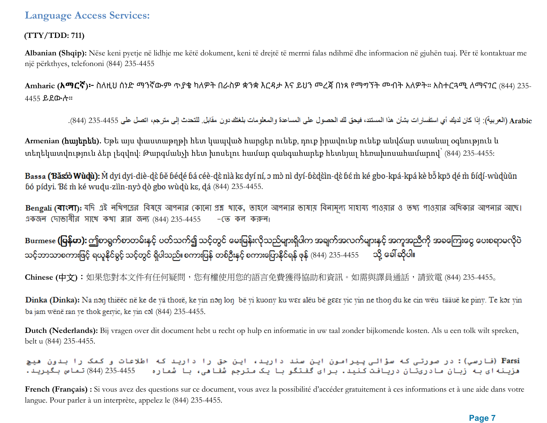### **(TTY/TDD: 711)**

**Albanian (Shqip):** Nëse keni pyetje në lidhje me këtë dokument, keni të drejtë të merrni falas ndihmë dhe informacion në gjuhën tuaj. Për të kontaktuar me një përkthyes, telefononi (844) 235-4455

**Amharic (አማርኛ)፦** ስለዚህ ሰነድ ማንኛውም ጥያቄ ካለዎት በራስዎ ቋንቋ እርዳታ እና ይህን መረጃ በነጻ የማግኘት መብት አለዎት። አስተርጓሚ ለማናገር (844) 235- 4455 ይደውሉ።

Arabic (العربية): إذا كان لديك أي استفسار ات بشأن هذا المستند، فيحق لك الحصول على المساعدة والمعلومات بلغتك دون مقابل للتحدث إلى مترجم، اتصل على 4455-235 (844).

**Armenian (**հայերեն**).** Եթե այս փաստաթղթի հետ կապված հարցեր ունեք, դուք իրավունք ունեք անվճար ստանալ օգնություն և տեղեկատվություն ձեր լեզվով: Թարգմանչի հետ խոսելու համար զանգահարեք հետևյալ հեռախոսահամարով՝ (844) 235-4455:

Bassa (Băsóò Wùdù): M dyi dyi-diè-dè bě bédé bá céè-dè nìà kɛ dyí ní, ɔ mò nì dyí-bèdèìn-dè bé m̀ ké gbo-kpá-kpá kè bỗ kpõ dé m̀ bídí-wùdùǔn bó pídyi. Bé m ké wudu-ziìn-nyò dò gbo wùdù ke, dá (844) 235-4455.

Bengali (বাংলা): যদি এই নথিপত্রের বিষয়ে আপনার কোনো প্রশ্ন খাকে, তাহলে আপনার ভাষায় বিনামূল্য সাওয়ার ও তথ্য পাওয়ার অধিকার আপনার আছে। একজন দোভাষীর সাথে কথা ব্লার জন্য (844) 235-4455 –জে কল করুন।

Burmese **(ပြန်မာ):** ဤစာရွက်စာတမ်းနှင့် ပတ်သက်၍ သင့်တွင် မေးမြန်းလိုသည်များရှိပါက အချက်အလက်များနှင့် အကူအညီကို အခကြေးငွေ ပေးစရာမလိုပဲ သင့်ဘာသာစကားဖြင့် ရယူနိုင်ခွင့် သင့်တွင် ရှိပါသည်။ စကားပြန် တစ်ဦးနှင့် စကားပြောနိုင်ရန် ဖုန် (844) 235-4455 ထို့ ခေါ်ဆိုပါ။

**Chinese (**中文**)**:如果您對本文件有任何疑問,您有權使用您的語言免費獲得協助和資訊。如需與譯員通話,請致電 (844) 235-4455。

Dinka (Dinka): Na non thiëëc në ke de yä thorë, ke yin non lon bë yi kuony ku wer alëu bë geer yic yin ne thon du ke cin wëu tääuë ke piny. Te kor yin ba jam wënë ran ye thok geryic, ke yin col (844) 235-4455.

**Dutch (Nederlands):** Bij vragen over dit document hebt u recht op hulp en informatie in uw taal zonder bijkomende kosten. Als u een tolk wilt spreken, belt u (844) 235-4455.

.<br>Farsi (فارسی): در صورتی که سؤالی پیرامون این سند دارید، این حق را دارید که اطلاعات و کمک را بدون هیچ هزینه ای به زبان مادریتان دریافت کنید. برای گفتگو با یک مترجم شفا هی، با شماره = 4455-235 (844) تماس بگیرید.

French (Français) : Si vous avez des questions sur ce document, vous avez la possibilité d'accéder gratuitement à ces informations et à une aide dans votre langue. Pour parler à un interprète, appelez le (844) 235-4455.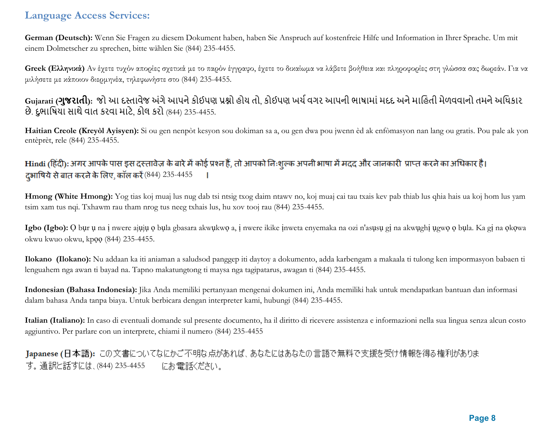**German (Deutsch):** Wenn Sie Fragen zu diesem Dokument haben, haben Sie Anspruch auf kostenfreie Hilfe und Information in Ihrer Sprache. Um mit einem Dolmetscher zu sprechen, bitte wählen Sie (844) 235-4455.

**Greek (Ελληνικά)** Αν έχετε τυχόν απορίες σχετικά με το παρόν έγγραφο, έχετε το δικαίωμα να λάβετε βοήθεια και πληροφορίες στη γλώσσα σας δωρεάν. Για να μιλήσετε με κάποιον διερμηνέα, τηλεφωνήστε στο (844) 235-4455.

## Gujarati (**ગુજરાતી**): જો આ દસ્તાવેજ અંગે આપને કોઈપણ પ્રશ્નો હોય તો, કોઈપણ ખર્ચ વગર આપની ભાષામાં મદદ અને માહિતી મેળવવાનો તમને અધિકાર છે. દુભાિષયા સાથેવાત કરવા માટે, કોલ કરો (844) 235-4455.

**Haitian Creole (Kreyòl Ayisyen):** Si ou gen nenpòt kesyon sou dokiman sa a, ou gen dwa pou jwenn èd ak enfòmasyon nan lang ou gratis. Pou pale ak yon entèprèt, rele (844) 235-4455.

## Hindi (हिंदी): अगर आपके पास इस दस्तावेज़ के बारे में कोई प्रश्न हैं, तो आपको निःशुल्क अपनी भाषा में मदद और जानकारी प्राप्त करने का अधिकार है। दभाषिये से बात करने के लिए, कॉल करें (844) 235-4455

**Hmong (White Hmong):** Yog tias koj muaj lus nug dab tsi ntsig txog daim ntawv no, koj muaj cai tau txais kev pab thiab lus qhia hais ua koj hom lus yam tsim xam tus nqi. Txhawm rau tham nrog tus neeg txhais lus, hu xov tooj rau (844) 235-4455.

**Igbo (Igbo):** Ọ bụr ụ na ị nwere ajụjụ ọ bụla gbasara akwụkwọ a, ị nwere ikike ịnweta enyemaka na ozi n'asụsụ gị na akwụghị ụgwọ ọ bụla. Ka gị na ọkọwa okwu kwuo okwu, kpọọ (844) 235-4455.

**Ilokano (Ilokano):** Nu addaan ka iti aniaman a saludsod panggep iti daytoy a dokumento, adda karbengam a makaala ti tulong ken impormasyon babaen ti lenguahem nga awan ti bayad na. Tapno makatungtong ti maysa nga tagipatarus, awagan ti (844) 235-4455.

**Indonesian (Bahasa Indonesia):** Jika Anda memiliki pertanyaan mengenai dokumen ini, Anda memiliki hak untuk mendapatkan bantuan dan informasi dalam bahasa Anda tanpa biaya. Untuk berbicara dengan interpreter kami, hubungi (844) 235-4455.

**Italian (Italiano):** In caso di eventuali domande sul presente documento, ha il diritto di ricevere assistenza e informazioni nella sua lingua senza alcun costo aggiuntivo. Per parlare con un interprete, chiami il numero (844) 235-4455

Japanese (日本語): この文書についてなにかご不明な点があれば、あなたにはあなたの言語で無料で支援を受け情報を得る権利がありま す。通訳と話すには、(844) 235-4455 にお電話ください。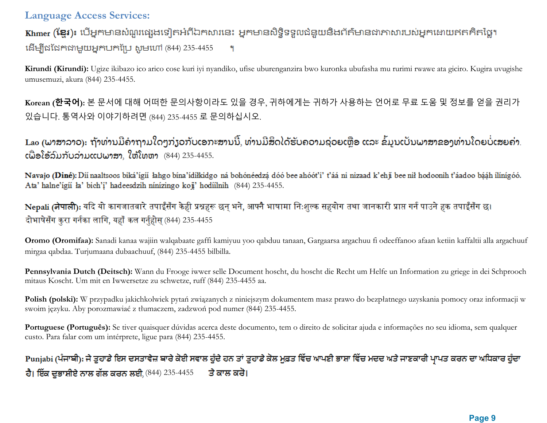Khmer (ខ្មែរ)៖ បើអ្នកមានសំណួរផ្សេងទៀតអំពីឯកសារនេះ អ្នកមានសិទ្ធិទទួលជំនួយនិងព័ត៌មានជាភាសារបស់អ្នកដោយឥតគិតថ្លៃ។ (844) 235-4455 ٩

**Kirundi (Kirundi):** Ugize ikibazo ico arico cose kuri iyi nyandiko, ufise uburenganzira bwo kuronka ubufasha mu rurimi rwawe ata giciro. Kugira uvugishe umusemuzi, akura (844) 235-4455.

**Korean (한국어):** 본 문서에 대해 어떠한 문의사항이라도 있을 경우, 귀하에게는 귀하가 사용하는 언어로 무료 도움 및 정보를 얻을 권리가 있습니다. 통역사와 이야기하려면 (844) 235-4455 로 문의하십시오.

Lao (ພາສາລາວ): ຖ້າທ່ານມີຄຳຖາມໃດໆກ່ຽວກັບເອກະສານນີ້, ທ່ານມີສິດໄດ້ຮັບຄວາມຊ່ວຍເຫຼືອ ແລະ ຂໍ້ມູນເປັນພາສາຂອງທ່ານໂດຍບໍ່ເສຍຄ່າ.  $c$ ພື່ອໂອ້ລົມກັບລ່າມແປພາສາ, ໃຫ້ໂທຫາ  $(844)$  235-4455.

Navajo (Diné): Díí naaltsoos biká'ígíí lahgo bína'ídílkidgo ná bohónéedzá dóó bee ahóót'i' t'áá ni nizaad k'ehji bee nil hodoonih t'áadoo bááh ílínígóó. Ata' halne'ígíi ła' bich'i' hadeesdzih nínízingo koji' hodíilnih (844) 235-4455.

Nepali (नेपाली): यदि यो कागजातबारे तपाईँसँग केही प्रश्नहरू छन् भने, आफ्नै भाषामा निःशुल्क सहयोग तथा जानकारी प्राप्त गर्न पाउने हक तपाईँसँग छ। दोभाषेसँग कुरा गर्नका लागि, यहाँ कल गर्नुहोस् (844) 235-4455

**Oromo (Oromifaa):** Sanadi kanaa wajiin walqabaate gaffi kamiyuu yoo qabduu tanaan, Gargaarsa argachuu fi odeeffanoo afaan ketiin kaffaltii alla argachuuf mirgaa qabdaa. Turjumaana dubaachuuf, (844) 235-4455 bilbilla.

**Pennsylvania Dutch (Deitsch):** Wann du Frooge iwwer selle Document hoscht, du hoscht die Recht um Helfe un Information zu griege in dei Schprooch mitaus Koscht. Um mit en Iwwersetze zu schwetze, ruff (844) 235-4455 aa.

**Polish (polski):** W przypadku jakichkolwiek pytań związanych z niniejszym dokumentem masz prawo do bezpłatnego uzyskania pomocy oraz informacji w swoim języku. Aby porozmawiać z tłumaczem, zadzwoń pod numer (844) 235-4455.

Portuguese (Português): Se tiver quaisquer dúvidas acerca deste documento, tem o direito de solicitar ajuda e informações no seu idioma, sem qualquer custo. Para falar com um intérprete, ligue para (844) 235-4455.

# Punjabi (ਪੰਜਾਬੀ): ਜੇ ਤੁਹਾਡੇ ਇਸ ਦਸਤਾਵੇਜ਼ ਬਾਰੇ ਕੋਈ ਸਵਾਲ ਹੁੰਦੇ ਹਨ ਤਾਂ ਤੁਹਾਡੇ ਕੋਲ ਮੁਫ਼ਤ ਵਿੱਚ ਆਪਣੀ ਭਾਸ਼ਾ ਵਿੱਚ ਮਦਦ ਅਤੇ ਜਾਣਕਾਰੀ ਪ੍ਰਾਪਤ ਕਰਨ ਦਾ ਅਧਿਕਾਰ ਹੁੰਦਾ ਹੈ। ਇੱਕ ਦੁਭਾਸ਼ੀਏ ਨਾਲ ਗੱਲ ਕਰਨ ਲਈ, (844) 235-4455 ਤੇ ਕਾਲ ਕਰੋ।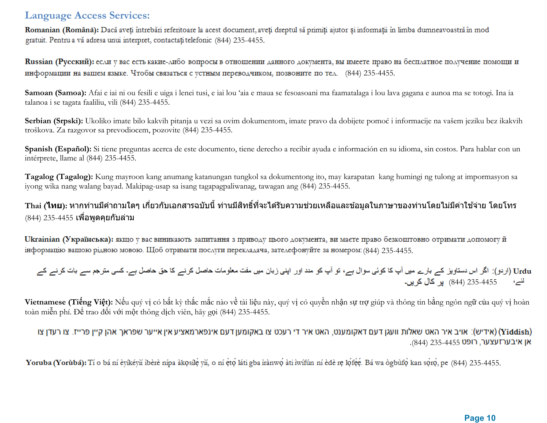Romanian (Română): Dacă aveți întrebări referitoare la acest document, aveți dreptul să primiți ajutor și informații în limba dumneavoastră în mod gratuit. Pentru a vă adresa unui interpret, contactați telefonic (844) 235-4455.

Russian (Русский): если у вас есть какие-либо вопросы в отношении данного документа, вы имеете право на бесплатное получение помощи и информации на вашем языке. Чтобы связаться с устным переводчиком, позвоните по тел. (844) 235-4455.

**Samoan (Samoa):** Afai e iai ni ou fesili e uiga i lenei tusi, e iai lou 'aia e maua se fesoasoani ma faamatalaga i lou lava gagana e aunoa ma se totogi. Ina ia talanoa i se tagata faaliliu, vili (844) 235-4455.

**Serbian (Srpski):** Ukoliko imate bilo kakvih pitanja u vezi sa ovim dokumentom, imate pravo da dobijete pomoć i informacije na vašem jeziku bez ikakvih troškova. Za razgovor sa prevodiocem, pozovite (844) 235-4455.

**Spanish (Español):** Si tiene preguntas acerca de este documento, tiene derecho a recibir ayuda e información en su idioma, sin costos. Para hablar con un intérprete, llame al (844) 235-4455.

**Tagalog (Tagalog):** Kung mayroon kang anumang katanungan tungkol sa dokumentong ito, may karapatan kang humingi ng tulong at impormasyon sa iyong wika nang walang bayad. Makipag-usap sa isang tagapagpaliwanag, tawagan ang (844) 235-4455.

### ้ Thai (**ไทย**): หากท่านมีคำถามใดๆ เกี่ยวกับเอกสารฉบับนี้ ท่านมีสิทธิ์ที่จะได*้*รับความช่วยเหลือและข้อมลในภาษาของท่านโดยไม่มีค่าใช้จ่าย โดยโทร  $(844)$  235-4455 เพื่อพูดคุยกับล่าม

Ukrainian (Українська): якщо у вас виникають запитання з приводу цього документа, ви маєте право безкоштовно отримати допомогу й інформацію вашою рідною мовою. Щоб отримати послуги перекладача, зателефонуйте за номером: (844) 235-4455.

Urdu (اردو): اگر اس دستاویز کے بارے میں آپ کا کوئی سوال ہے، تو آپ کو مدد اور اپنی زبان میں مفت معلومات حاصل کرنے کا حق حاصل ہے۔ کسی مترجم سے بات کرنے کے <sup>لئے،</sup> 235-4455 (844) پر کال کریں۔

**Vietnamese (Tiếng Việt):** Nếu quý vị có bất kỳ thắc mắc nào về tài liệu này, quý vị có quyền nhận sự trợ giúp và thông tin bằng ngôn ngữ của quý vị hoàn toàn miễn phí. Để trao đổi với một thông dịch viên, hãy gọi (844) 235-4455.

### (אידיש): אויב איר האט שאלות וועגן דעם דאקומענט, האט איר די רעכט צו באקומען דעם אינפארמאציע אין אייער שפראך אהן קיין פרייז. צו רעדן צו (Yiddish) .(844) אן איבערזעצער, רופט 235-4455

Yoruba (Yorubá): Tí o bá ní èyíkéyň ibèrè nípa àkosíle vň, o ní eto láti gba irànwo àti iwífún ní èdè re lofee. Bá wa ògbufo kan soro, pe (844) 235-4455.